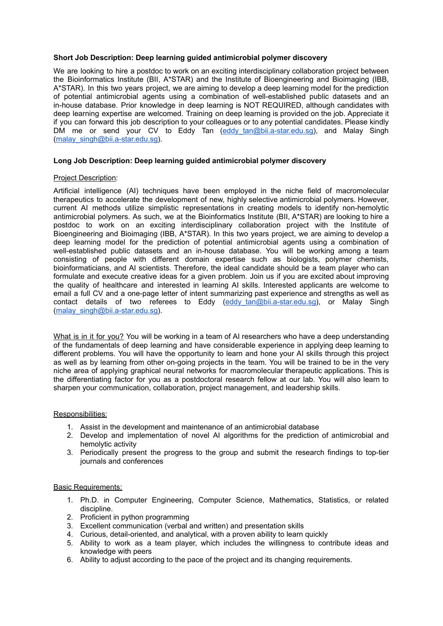# **Short Job Description: Deep learning guided antimicrobial polymer discovery**

We are looking to hire a postdoc to work on an exciting interdisciplinary collaboration project between the Bioinformatics Institute (BII, A\*STAR) and the Institute of Bioengineering and Bioimaging (IBB, A\*STAR). In this two years project, we are aiming to develop a deep learning model for the prediction of potential antimicrobial agents using a combination of well-established public datasets and an in-house database. Prior knowledge in deep learning is NOT REQUIRED, although candidates with deep learning expertise are welcomed. Training on deep learning is provided on the job. Appreciate it if you can forward this job description to your colleagues or to any potential candidates. Please kindly DM me or send your CV to Eddy Tan (eddy tan@bii.a-star.edu.sg), and Malay Singh [\(malay\\_singh@bii.a-star.edu.sg](mailto:malay_singh@bii.a-star.edu.sg)).

# **Long Job Description: Deep learning guided antimicrobial polymer discovery**

### Project Description:

Artificial intelligence (AI) techniques have been employed in the niche field of macromolecular therapeutics to accelerate the development of new, highly selective antimicrobial polymers. However, current AI methods utilize simplistic representations in creating models to identify non-hemolytic antimicrobial polymers. As such, we at the Bioinformatics Institute (BII, A\*STAR) are looking to hire a postdoc to work on an exciting interdisciplinary collaboration project with the Institute of Bioengineering and Bioimaging (IBB, A\*STAR). In this two years project, we are aiming to develop a deep learning model for the prediction of potential antimicrobial agents using a combination of well-established public datasets and an in-house database. You will be working among a team consisting of people with different domain expertise such as biologists, polymer chemists, bioinformaticians, and AI scientists. Therefore, the ideal candidate should be a team player who can formulate and execute creative ideas for a given problem. Join us if you are excited about improving the quality of healthcare and interested in learning AI skills. Interested applicants are welcome to email a full CV and a one-page letter of intent summarizing past experience and strengths as well as contact details of two referees to Eddy (eddy tan@bii.a-star.edu.sg), or Malay Singh [\(malay\\_singh@bii.a-star.edu.sg](mailto:malay_singh@bii.a-star.edu.sg)).

What is in it for you? You will be working in a team of AI researchers who have a deep understanding of the fundamentals of deep learning and have considerable experience in applying deep learning to different problems. You will have the opportunity to learn and hone your AI skills through this project as well as by learning from other on-going projects in the team. You will be trained to be in the very niche area of applying graphical neural networks for macromolecular therapeutic applications. This is the differentiating factor for you as a postdoctoral research fellow at our lab. You will also learn to sharpen your communication, collaboration, project management, and leadership skills.

### Responsibilities:

- 1. Assist in the development and maintenance of an antimicrobial database
- 2. Develop and implementation of novel AI algorithms for the prediction of antimicrobial and hemolytic activity
- 3. Periodically present the progress to the group and submit the research findings to top-tier journals and conferences

# Basic Requirements:

- 1. Ph.D. in Computer Engineering, Computer Science, Mathematics, Statistics, or related discipline.
- 2. Proficient in python programming
- 3. Excellent communication (verbal and written) and presentation skills
- 4. Curious, detail-oriented, and analytical, with a proven ability to learn quickly
- 5. Ability to work as a team player, which includes the willingness to contribute ideas and knowledge with peers
- 6. Ability to adjust according to the pace of the project and its changing requirements.